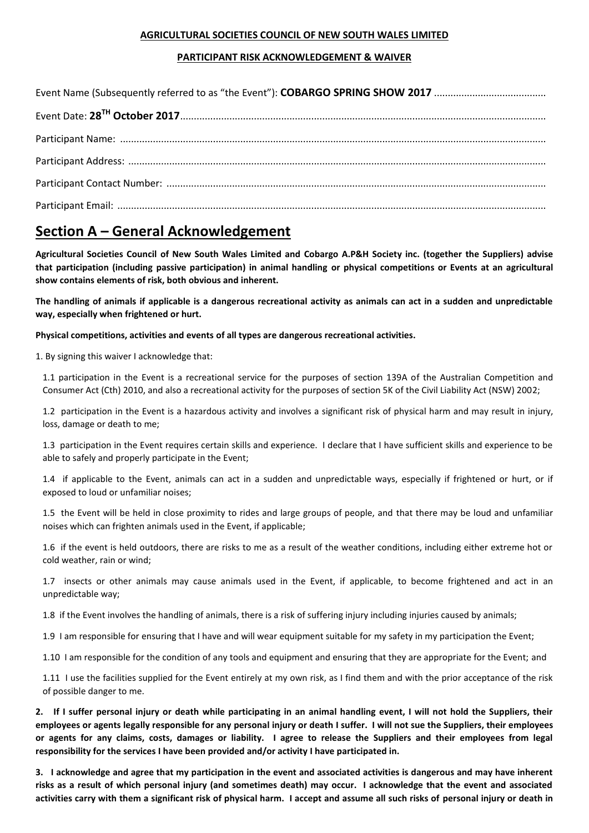### **AGRICULTURAL SOCIETIES COUNCIL OF NEW SOUTH WALES LIMITED**

### **PARTICIPANT RISK ACKNOWLEDGEMENT & WAIVER**

## **Section A – General Acknowledgement**

**Agricultural Societies Council of New South Wales Limited and Cobargo A.P&H Society inc. (together the Suppliers) advise that participation (including passive participation) in animal handling or physical competitions or Events at an agricultural show contains elements of risk, both obvious and inherent.** 

**The handling of animals if applicable is a dangerous recreational activity as animals can act in a sudden and unpredictable way, especially when frightened or hurt.** 

**Physical competitions, activities and events of all types are dangerous recreational activities.**

1. By signing this waiver I acknowledge that:

1.1 participation in the Event is a recreational service for the purposes of section 139A of the Australian Competition and Consumer Act (Cth) 2010, and also a recreational activity for the purposes of section 5K of the Civil Liability Act (NSW) 2002;

1.2 participation in the Event is a hazardous activity and involves a significant risk of physical harm and may result in injury, loss, damage or death to me;

1.3 participation in the Event requires certain skills and experience. I declare that I have sufficient skills and experience to be able to safely and properly participate in the Event;

1.4 if applicable to the Event, animals can act in a sudden and unpredictable ways, especially if frightened or hurt, or if exposed to loud or unfamiliar noises;

1.5 the Event will be held in close proximity to rides and large groups of people, and that there may be loud and unfamiliar noises which can frighten animals used in the Event, if applicable;

1.6 if the event is held outdoors, there are risks to me as a result of the weather conditions, including either extreme hot or cold weather, rain or wind;

1.7 insects or other animals may cause animals used in the Event, if applicable, to become frightened and act in an unpredictable way;

1.8 if the Event involves the handling of animals, there is a risk of suffering injury including injuries caused by animals;

1.9 I am responsible for ensuring that I have and will wear equipment suitable for my safety in my participation the Event;

1.10 I am responsible for the condition of any tools and equipment and ensuring that they are appropriate for the Event; and

1.11 I use the facilities supplied for the Event entirely at my own risk, as I find them and with the prior acceptance of the risk of possible danger to me.

**2. If I suffer personal injury or death while participating in an animal handling event, I will not hold the Suppliers, their employees or agents legally responsible for any personal injury or death I suffer. I will not sue the Suppliers, their employees or agents for any claims, costs, damages or liability. I agree to release the Suppliers and their employees from legal responsibility for the services I have been provided and/or activity I have participated in.** 

**3. I acknowledge and agree that my participation in the event and associated activities is dangerous and may have inherent risks as a result of which personal injury (and sometimes death) may occur. I acknowledge that the event and associated activities carry with them a significant risk of physical harm. I accept and assume all such risks of personal injury or death in**